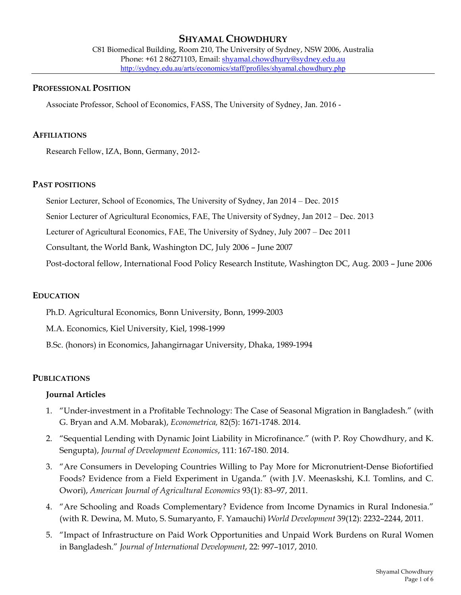# **SHYAMAL CHOWDHURY**

C81 Biomedical Building, Room 210, The University of Sydney, NSW 2006, Australia Phone: +61 2 86271103, Email: shyamal.chowdhury@sydney.edu.au http://sydney.edu.au/arts/economics/staff/profiles/shyamal.chowdhury.php

#### **PROFESSIONAL POSITION**

Associate Professor, School of Economics, FASS, The University of Sydney, Jan. 2016 -

#### **AFFILIATIONS**

Research Fellow, IZA, Bonn, Germany, 2012-

#### **PAST POSITIONS**

Senior Lecturer, School of Economics, The University of Sydney, Jan 2014 – Dec. 2015

Senior Lecturer of Agricultural Economics, FAE, The University of Sydney, Jan 2012 – Dec. 2013

Lecturer of Agricultural Economics, FAE, The University of Sydney, July 2007 – Dec 2011

Consultant, the World Bank, Washington DC, July 2006 – June 2007

Post-doctoral fellow, International Food Policy Research Institute, Washington DC, Aug. 2003 – June 2006

#### **EDUCATION**

Ph.D. Agricultural Economics, Bonn University, Bonn, 1999-2003

M.A. Economics, Kiel University, Kiel, 1998-1999

B.Sc. (honors) in Economics, Jahangirnagar University, Dhaka, 1989-1994

### **PUBLICATIONS**

### **Journal Articles**

- 1. "Under-investment in a Profitable Technology: The Case of Seasonal Migration in Bangladesh." (with G. Bryan and A.M. Mobarak), *Econometrica,* 82(5): 1671-1748. 2014.
- 2. "Sequential Lending with Dynamic Joint Liability in Microfinance." (with P. Roy Chowdhury, and K. Sengupta), *Journal of Development Economics*, 111: 167-180. 2014.
- 3. "Are Consumers in Developing Countries Willing to Pay More for Micronutrient-Dense Biofortified Foods? Evidence from a Field Experiment in Uganda." (with J.V. Meenaskshi, K.I. Tomlins, and C. Owori), *American Journal of Agricultural Economics* 93(1): 83–97, 2011.
- 4. "Are Schooling and Roads Complementary? Evidence from Income Dynamics in Rural Indonesia." (with R. Dewina, M. Muto, S. Sumaryanto, F. Yamauchi) *World Development* 39(12): 2232–2244, 2011.
- 5. "Impact of Infrastructure on Paid Work Opportunities and Unpaid Work Burdens on Rural Women in Bangladesh." *Journal of International Development*, 22: 997–1017, 2010.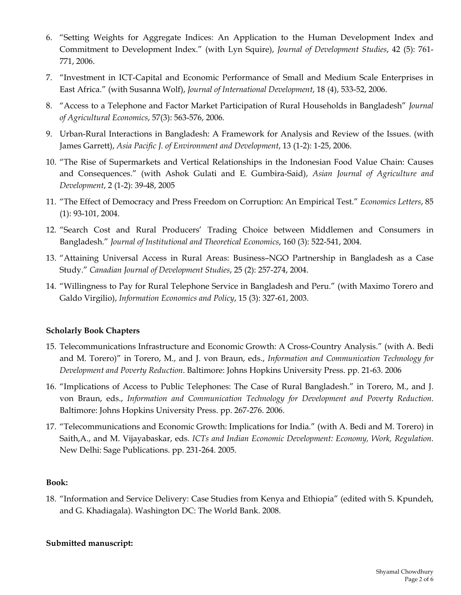- 6. "Setting Weights for Aggregate Indices: An Application to the Human Development Index and Commitment to Development Index." (with Lyn Squire), *Journal of Development Studies*, 42 (5): 761- 771, 2006.
- 7. "Investment in ICT-Capital and Economic Performance of Small and Medium Scale Enterprises in East Africa." (with Susanna Wolf), *Journal of International Development*, 18 (4), 533-52, 2006.
- 8. "Access to a Telephone and Factor Market Participation of Rural Households in Bangladesh" *Journal of Agricultural Economics*, 57(3): 563-576, 2006.
- 9. Urban-Rural Interactions in Bangladesh: A Framework for Analysis and Review of the Issues. (with James Garrett), *Asia Pacific J. of Environment and Development*, 13 (1-2): 1-25, 2006.
- 10. "The Rise of Supermarkets and Vertical Relationships in the Indonesian Food Value Chain: Causes and Consequences." (with Ashok Gulati and E. Gumbira-Said), *Asian Journal of Agriculture and Development*, 2 (1-2): 39-48, 2005
- 11. "The Effect of Democracy and Press Freedom on Corruption: An Empirical Test." *Economics Letters*, 85 (1): 93-101, 2004.
- 12. "Search Cost and Rural Producers' Trading Choice between Middlemen and Consumers in Bangladesh." *Journal of Institutional and Theoretical Economics*, 160 (3): 522-541, 2004.
- 13. "Attaining Universal Access in Rural Areas: Business–NGO Partnership in Bangladesh as a Case Study." *Canadian Journal of Development Studies*, 25 (2): 257-274, 2004.
- 14. "Willingness to Pay for Rural Telephone Service in Bangladesh and Peru." (with Maximo Torero and Galdo Virgilio), *Information Economics and Policy*, 15 (3): 327-61, 2003.

# **Scholarly Book Chapters**

- 15. Telecommunications Infrastructure and Economic Growth: A Cross-Country Analysis." (with A. Bedi and M. Torero)" in Torero, M., and J. von Braun, eds., *Information and Communication Technology for Development and Poverty Reduction*. Baltimore: Johns Hopkins University Press. pp. 21-63. 2006
- 16. "Implications of Access to Public Telephones: The Case of Rural Bangladesh." in Torero, M., and J. von Braun, eds., *Information and Communication Technology for Development and Poverty Reduction*. Baltimore: Johns Hopkins University Press. pp. 267-276. 2006.
- 17. "Telecommunications and Economic Growth: Implications for India." (with A. Bedi and M. Torero) in Saith,A., and M. Vijayabaskar, eds. *ICTs and Indian Economic Development: Economy, Work, Regulation.* New Delhi: Sage Publications. pp. 231-264. 2005.

### **Book:**

18. "Information and Service Delivery: Case Studies from Kenya and Ethiopia" (edited with S. Kpundeh, and G. Khadiagala). Washington DC: The World Bank. 2008.

### **Submitted manuscript:**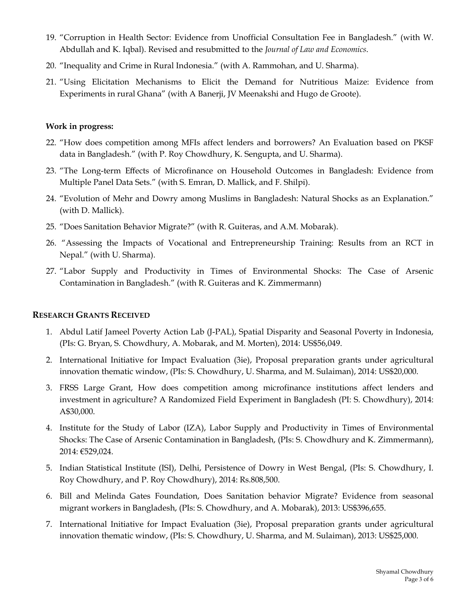- 19. "Corruption in Health Sector: Evidence from Unofficial Consultation Fee in Bangladesh." (with W. Abdullah and K. Iqbal). Revised and resubmitted to the *Journal of Law and Economics*.
- 20. "Inequality and Crime in Rural Indonesia." (with A. Rammohan, and U. Sharma).
- 21. "Using Elicitation Mechanisms to Elicit the Demand for Nutritious Maize: Evidence from Experiments in rural Ghana" (with A Banerji, JV Meenakshi and Hugo de Groote).

### **Work in progress:**

- 22. "How does competition among MFIs affect lenders and borrowers? An Evaluation based on PKSF data in Bangladesh." (with P. Roy Chowdhury, K. Sengupta, and U. Sharma).
- 23. "The Long-term Effects of Microfinance on Household Outcomes in Bangladesh: Evidence from Multiple Panel Data Sets." (with S. Emran, D. Mallick, and F. Shilpi).
- 24. "Evolution of Mehr and Dowry among Muslims in Bangladesh: Natural Shocks as an Explanation." (with D. Mallick).
- 25. "Does Sanitation Behavior Migrate?" (with R. Guiteras, and A.M. Mobarak).
- 26. "Assessing the Impacts of Vocational and Entrepreneurship Training: Results from an RCT in Nepal." (with U. Sharma).
- 27. "Labor Supply and Productivity in Times of Environmental Shocks: The Case of Arsenic Contamination in Bangladesh." (with R. Guiteras and K. Zimmermann)

### **RESEARCH GRANTS RECEIVED**

- 1. Abdul Latif Jameel Poverty Action Lab (J-PAL), Spatial Disparity and Seasonal Poverty in Indonesia, (PIs: G. Bryan, S. Chowdhury, A. Mobarak, and M. Morten), 2014: US\$56,049.
- 2. International Initiative for Impact Evaluation (3ie), Proposal preparation grants under agricultural innovation thematic window, (PIs: S. Chowdhury, U. Sharma, and M. Sulaiman), 2014: US\$20,000.
- 3. FRSS Large Grant, How does competition among microfinance institutions affect lenders and investment in agriculture? A Randomized Field Experiment in Bangladesh (PI: S. Chowdhury), 2014: A\$30,000.
- 4. Institute for the Study of Labor (IZA), Labor Supply and Productivity in Times of Environmental Shocks: The Case of Arsenic Contamination in Bangladesh, (PIs: S. Chowdhury and K. Zimmermann), 2014: €529,024.
- 5. Indian Statistical Institute (ISI), Delhi, Persistence of Dowry in West Bengal, (PIs: S. Chowdhury, I. Roy Chowdhury, and P. Roy Chowdhury), 2014: Rs.808,500.
- 6. Bill and Melinda Gates Foundation, Does Sanitation behavior Migrate? Evidence from seasonal migrant workers in Bangladesh, (PIs: S. Chowdhury, and A. Mobarak), 2013: US\$396,655.
- 7. International Initiative for Impact Evaluation (3ie), Proposal preparation grants under agricultural innovation thematic window, (PIs: S. Chowdhury, U. Sharma, and M. Sulaiman), 2013: US\$25,000.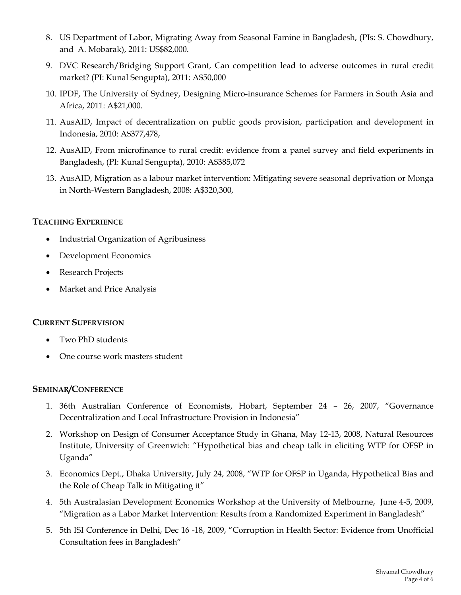- 8. US Department of Labor, Migrating Away from Seasonal Famine in Bangladesh, (PIs: S. Chowdhury, and A. Mobarak), 2011: US\$82,000.
- 9. DVC Research/Bridging Support Grant, Can competition lead to adverse outcomes in rural credit market? (PI: Kunal Sengupta), 2011: A\$50,000
- 10. IPDF, The University of Sydney, Designing Micro-insurance Schemes for Farmers in South Asia and Africa, 2011: A\$21,000.
- 11. AusAID, Impact of decentralization on public goods provision, participation and development in Indonesia, 2010: A\$377,478,
- 12. AusAID, From microfinance to rural credit: evidence from a panel survey and field experiments in Bangladesh, (PI: Kunal Sengupta), 2010: A\$385,072
- 13. AusAID, Migration as a labour market intervention: Mitigating severe seasonal deprivation or Monga in North-Western Bangladesh, 2008: A\$320,300,

### **TEACHING EXPERIENCE**

- Industrial Organization of Agribusiness
- Development Economics
- Research Projects
- Market and Price Analysis

### **CURRENT SUPERVISION**

- Two PhD students
- One course work masters student

### **SEMINAR/CONFERENCE**

- 1. 36th Australian Conference of Economists, Hobart, September 24 26, 2007, "Governance Decentralization and Local Infrastructure Provision in Indonesia"
- 2. Workshop on Design of Consumer Acceptance Study in Ghana, May 12-13, 2008, Natural Resources Institute, University of Greenwich: "Hypothetical bias and cheap talk in eliciting WTP for OFSP in Uganda"
- 3. Economics Dept., Dhaka University, July 24, 2008, "WTP for OFSP in Uganda, Hypothetical Bias and the Role of Cheap Talk in Mitigating it"
- 4. 5th Australasian Development Economics Workshop at the University of Melbourne, June 4-5, 2009, "Migration as a Labor Market Intervention: Results from a Randomized Experiment in Bangladesh"
- 5. 5th ISI Conference in Delhi, Dec 16 -18, 2009, "Corruption in Health Sector: Evidence from Unofficial Consultation fees in Bangladesh"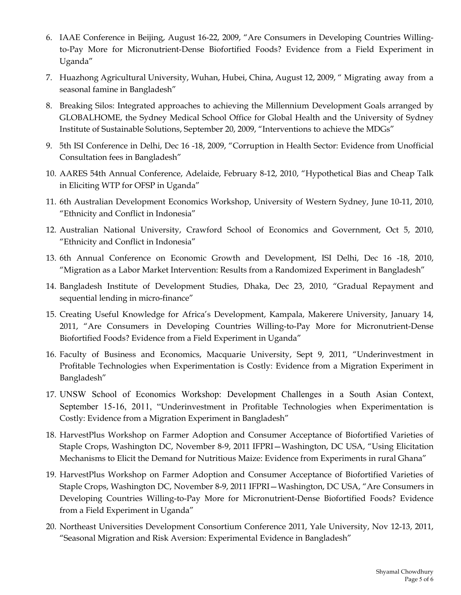- 6. IAAE Conference in Beijing, August 16-22, 2009, "Are Consumers in Developing Countries Willingto-Pay More for Micronutrient-Dense Biofortified Foods? Evidence from a Field Experiment in Uganda"
- 7. Huazhong Agricultural University, Wuhan, Hubei, China, August 12, 2009, " Migrating away from a seasonal famine in Bangladesh"
- 8. Breaking Silos: Integrated approaches to achieving the Millennium Development Goals arranged by GLOBALHOME, the Sydney Medical School Office for Global Health and the University of Sydney Institute of Sustainable Solutions, September 20, 2009, "Interventions to achieve the MDGs"
- 9. 5th ISI Conference in Delhi, Dec 16 -18, 2009, "Corruption in Health Sector: Evidence from Unofficial Consultation fees in Bangladesh"
- 10. AARES 54th Annual Conference, Adelaide, February 8-12, 2010, "Hypothetical Bias and Cheap Talk in Eliciting WTP for OFSP in Uganda"
- 11. 6th Australian Development Economics Workshop, University of Western Sydney, June 10-11, 2010, "Ethnicity and Conflict in Indonesia"
- 12. Australian National University, Crawford School of Economics and Government, Oct 5, 2010, "Ethnicity and Conflict in Indonesia"
- 13. 6th Annual Conference on Economic Growth and Development, ISI Delhi, Dec 16 -18, 2010, "Migration as a Labor Market Intervention: Results from a Randomized Experiment in Bangladesh"
- 14. Bangladesh Institute of Development Studies, Dhaka, Dec 23, 2010, "Gradual Repayment and sequential lending in micro-finance"
- 15. Creating Useful Knowledge for Africa's Development, Kampala, Makerere University, January 14, 2011, "Are Consumers in Developing Countries Willing-to-Pay More for Micronutrient-Dense Biofortified Foods? Evidence from a Field Experiment in Uganda"
- 16. Faculty of Business and Economics, Macquarie University, Sept 9, 2011, "Underinvestment in Profitable Technologies when Experimentation is Costly: Evidence from a Migration Experiment in Bangladesh"
- 17. UNSW School of Economics Workshop: Development Challenges in a South Asian Context, September 15-16, 2011, "Underinvestment in Profitable Technologies when Experimentation is Costly: Evidence from a Migration Experiment in Bangladesh"
- 18. HarvestPlus Workshop on Farmer Adoption and Consumer Acceptance of Biofortified Varieties of Staple Crops, Washington DC, November 8-9, 2011 IFPRI—Washington, DC USA, "Using Elicitation Mechanisms to Elicit the Demand for Nutritious Maize: Evidence from Experiments in rural Ghana"
- 19. HarvestPlus Workshop on Farmer Adoption and Consumer Acceptance of Biofortified Varieties of Staple Crops, Washington DC, November 8-9, 2011 IFPRI—Washington, DC USA, "Are Consumers in Developing Countries Willing-to-Pay More for Micronutrient-Dense Biofortified Foods? Evidence from a Field Experiment in Uganda"
- 20. Northeast Universities Development Consortium Conference 2011, Yale University, Nov 12-13, 2011, "Seasonal Migration and Risk Aversion: Experimental Evidence in Bangladesh"